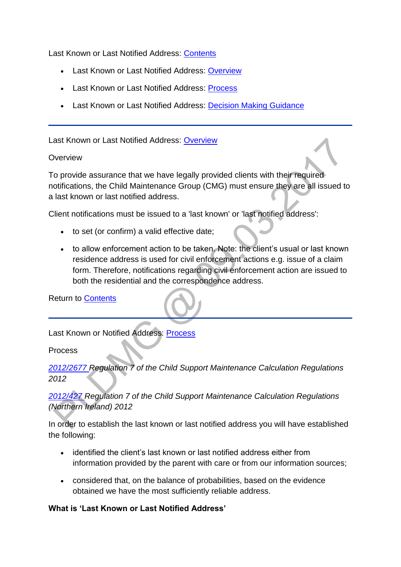Last Known or Last Notified Address: [Contents](http://np-cmg-sharepoint.link2.gpn.gov.uk/sites/policy-law-and-decision-making-guidance/Pages)

- Last Known or Last Notified Address: [Overview](http://np-cmg-sharepoint.link2.gpn.gov.uk/sites/policy-law-and-decision-making-guidance/Pages/Last%20Known%20or%20Last%20Notified%20Address.aspx#Overview)
- Last Known or Last Notified Address: [Process](http://np-cmg-sharepoint.link2.gpn.gov.uk/sites/policy-law-and-decision-making-guidance/Pages/Last%20Known%20or%20Last%20Notified%20Address.aspx#Process)
- Last Known or Last Notified Address: [Decision Making Guidance](http://np-cmg-sharepoint.link2.gpn.gov.uk/sites/policy-law-and-decision-making-guidance/Pages/Last%20Known%20or%20Last%20Notified%20Address.aspx#Guidance)

Last Known or Last Notified Address: [Overview](http://np-cmg-sharepoint.link2.gpn.gov.uk/sites/policy-law-and-decision-making-guidance/Pages)

#### **Overview**

To provide assurance that we have legally provided clients with their required notifications, the Child Maintenance Group (CMG) must ensure they are all issued to a last known or last notified address.

Client notifications must be issued to a 'last known' or 'last notified address':

- to set (or confirm) a valid effective date;
- to allow enforcement action to be taken. Note: the client's usual or last known residence address is used for civil enforcement actions e.g. issue of a claim form. Therefore, notifications regarding civil enforcement action are issued to both the residential and the correspondence address.

Return to [Contents](http://np-cmg-sharepoint.link2.gpn.gov.uk/sites/policy-law-and-decision-making-guidance/Pages/Last%20Known%20or%20Last%20Notified%20Address.aspx#Contents)

Last Known or Notified Address: [Process](http://np-cmg-sharepoint.link2.gpn.gov.uk/sites/policy-law-and-decision-making-guidance/Pages)

Process

*[2012/2677 R](http://www.legislation.gov.uk/uksi/2012/2677)egulation 7 of the Child Support Maintenance Calculation Regulations 2012*

# *[2012/427 R](http://www.legislation.gov.uk/nisr/2012/427/contents/made)egulation 7 of the Child Support Maintenance Calculation Regulations (Northern Ireland) 2012*

In order to establish the last known or last notified address you will have established the following:

- identified the client's last known or last notified address either from information provided by the parent with care or from our information sources;
- considered that, on the balance of probabilities, based on the evidence obtained we have the most sufficiently reliable address.

### **What is 'Last Known or Last Notified Address'**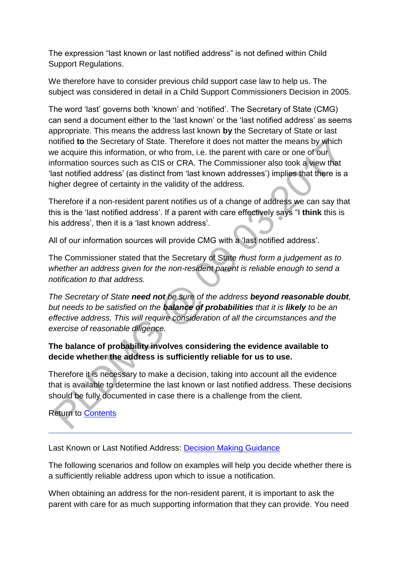The expression "last known or last notified address" is not defined within Child Support Regulations.

We therefore have to consider previous child support case law to help us. The subject was considered in detail in a Child Support Commissioners Decision in 2005.

The word 'last' governs both 'known' and 'notified'. The Secretary of State (CMG) can send a document either to the 'last known' or the 'last notified address' as seems appropriate. This means the address last known **by** the Secretary of State or last notified **to** the Secretary of State. Therefore it does not matter the means by which we acquire this information, or who from, i.e. the parent with care or one of our information sources such as CIS or CRA. The Commissioner also took a view that 'last notified address' (as distinct from 'last known addresses') implies that there is a higher degree of certainty in the validity of the address.

Therefore if a non-resident parent notifies us of a change of address we can say that this is the 'last notified address'. If a parent with care effectively says "I **think** this is his address', then it is a 'last known address'.

All of our information sources will provide CMG with a 'last notified address'.

The Commissioner stated that the Secretary of State *must form a judgement as to whether an address given for the non-resident parent is reliable enough to send a notification to that address.*

*The Secretary of State need not be sure of the address beyond reasonable doubt, but needs to be satisfied on the balance of probabilities that it is likely to be an effective address. This will require consideration of all the circumstances and the exercise of reasonable diligence.*

## **The balance of probability involves considering the evidence available to decide whether the address is sufficiently reliable for us to use.**

Therefore it is necessary to make a decision, taking into account all the evidence that is available to determine the last known or last notified address. These decisions should be fully documented in case there is a challenge from the client.

Return to [Contents](http://np-cmg-sharepoint.link2.gpn.gov.uk/sites/policy-law-and-decision-making-guidance/Pages/Last%20Known%20or%20Last%20Notified%20Address.aspx#Contents)

Last Known or Last Notified Address: [Decision Making Guidance](http://np-cmg-sharepoint.link2.gpn.gov.uk/sites/policy-law-and-decision-making-guidance/Pages)

The following scenarios and follow on examples will help you decide whether there is a sufficiently reliable address upon which to issue a notification.

When obtaining an address for the non-resident parent, it is important to ask the parent with care for as much supporting information that they can provide. You need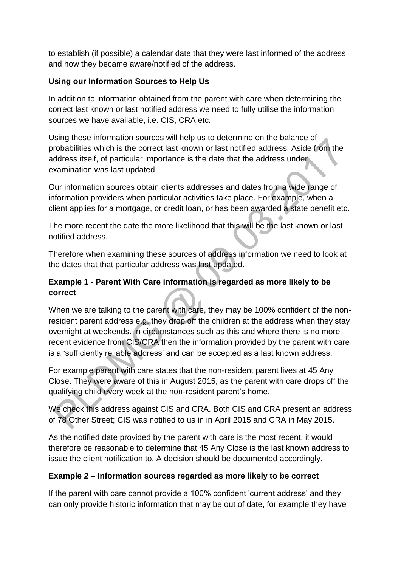to establish (if possible) a calendar date that they were last informed of the address and how they became aware/notified of the address.

## **Using our Information Sources to Help Us**

In addition to information obtained from the parent with care when determining the correct last known or last notified address we need to fully utilise the information sources we have available, i.e. CIS, CRA etc.

Using these information sources will help us to determine on the balance of probabilities which is the correct last known or last notified address. Aside from the address itself, of particular importance is the date that the address under examination was last updated.

Our information sources obtain clients addresses and dates from a wide range of information providers when particular activities take place. For example, when a client applies for a mortgage, or credit loan, or has been awarded a state benefit etc.

The more recent the date the more likelihood that this will be the last known or last notified address.

Therefore when examining these sources of address information we need to look at the dates that that particular address was last updated.

## **Example 1 - Parent With Care information is regarded as more likely to be correct**

When we are talking to the parent with care, they may be 100% confident of the nonresident parent address e.g. they drop off the children at the address when they stay overnight at weekends. In circumstances such as this and where there is no more recent evidence from CIS/CRA then the information provided by the parent with care is a 'sufficiently reliable address' and can be accepted as a last known address.

For example parent with care states that the non-resident parent lives at 45 Any Close. They were aware of this in August 2015, as the parent with care drops off the qualifying child every week at the non-resident parent's home.

We check this address against CIS and CRA. Both CIS and CRA present an address of 78 Other Street; CIS was notified to us in in April 2015 and CRA in May 2015.

As the notified date provided by the parent with care is the most recent, it would therefore be reasonable to determine that 45 Any Close is the last known address to issue the client notification to. A decision should be documented accordingly.

# **Example 2 – Information sources regarded as more likely to be correct**

If the parent with care cannot provide a 100% confident 'current address' and they can only provide historic information that may be out of date, for example they have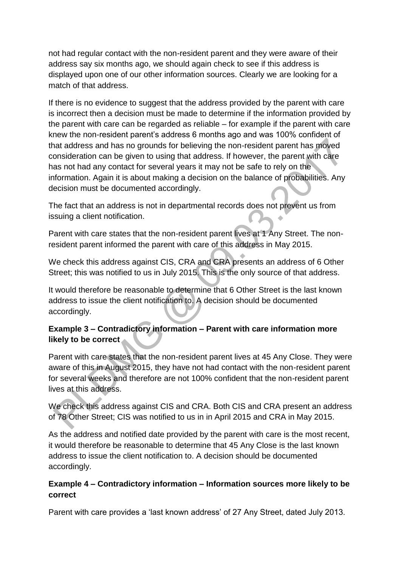not had regular contact with the non-resident parent and they were aware of their address say six months ago, we should again check to see if this address is displayed upon one of our other information sources. Clearly we are looking for a match of that address.

If there is no evidence to suggest that the address provided by the parent with care is incorrect then a decision must be made to determine if the information provided by the parent with care can be regarded as reliable – for example if the parent with care knew the non-resident parent's address 6 months ago and was 100% confident of that address and has no grounds for believing the non-resident parent has moved consideration can be given to using that address. If however, the parent with care has not had any contact for several years it may not be safe to rely on the information. Again it is about making a decision on the balance of probabilities. Any decision must be documented accordingly.

The fact that an address is not in departmental records does not prevent us from issuing a client notification.

Parent with care states that the non-resident parent lives at 1 Any Street. The nonresident parent informed the parent with care of this address in May 2015.

We check this address against CIS, CRA and CRA presents an address of 6 Other Street; this was notified to us in July 2015. This is the only source of that address.

It would therefore be reasonable to determine that 6 Other Street is the last known address to issue the client notification to. A decision should be documented accordingly.

# **Example 3 – Contradictory information – Parent with care information more likely to be correct**

Parent with care states that the non-resident parent lives at 45 Any Close. They were aware of this in August 2015, they have not had contact with the non-resident parent for several weeks and therefore are not 100% confident that the non-resident parent lives at this address.

We check this address against CIS and CRA. Both CIS and CRA present an address of 78 Other Street; CIS was notified to us in in April 2015 and CRA in May 2015.

As the address and notified date provided by the parent with care is the most recent, it would therefore be reasonable to determine that 45 Any Close is the last known address to issue the client notification to. A decision should be documented accordingly.

## **Example 4 – Contradictory information – Information sources more likely to be correct**

Parent with care provides a 'last known address' of 27 Any Street, dated July 2013.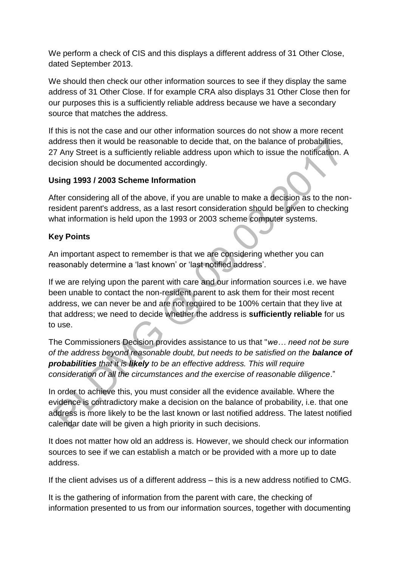We perform a check of CIS and this displays a different address of 31 Other Close, dated September 2013.

We should then check our other information sources to see if they display the same address of 31 Other Close. If for example CRA also displays 31 Other Close then for our purposes this is a sufficiently reliable address because we have a secondary source that matches the address.

If this is not the case and our other information sources do not show a more recent address then it would be reasonable to decide that, on the balance of probabilities, 27 Any Street is a sufficiently reliable address upon which to issue the notification. A decision should be documented accordingly.

### **Using 1993 / 2003 Scheme Information**

After considering all of the above, if you are unable to make a decision as to the nonresident parent's address, as a last resort consideration should be given to checking what information is held upon the 1993 or 2003 scheme computer systems.

### **Key Points**

An important aspect to remember is that we are considering whether you can reasonably determine a 'last known' or 'last notified address'.

If we are relying upon the parent with care and our information sources i.e. we have been unable to contact the non-resident parent to ask them for their most recent address, we can never be and are not required to be 100% certain that they live at that address; we need to decide whether the address is **sufficiently reliable** for us to use.

The Commissioners Decision provides assistance to us that "*we… need not be sure of the address beyond reasonable doubt, but needs to be satisfied on the balance of probabilities that it is likely to be an effective address. This will require consideration of all the circumstances and the exercise of reasonable diligence*."

In order to achieve this, you must consider all the evidence available. Where the evidence is contradictory make a decision on the balance of probability, i.e. that one address is more likely to be the last known or last notified address. The latest notified calendar date will be given a high priority in such decisions.

It does not matter how old an address is. However, we should check our information sources to see if we can establish a match or be provided with a more up to date address.

If the client advises us of a different address – this is a new address notified to CMG.

It is the gathering of information from the parent with care, the checking of information presented to us from our information sources, together with documenting